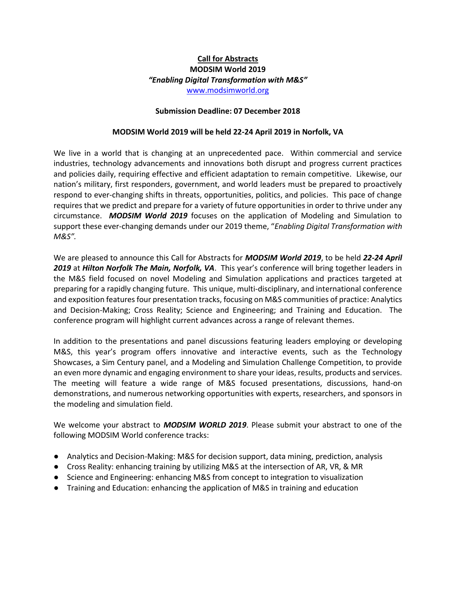# **Call for Abstracts MODSIM World 2019** *"Enabling Digital Transformation with M&S"* [www.modsimworld.org](http://www.modsimworld.org/)

#### **Submission Deadline: 07 December 2018**

#### **MODSIM World 2019 will be held 22-24 April 2019 in Norfolk, VA**

We live in a world that is changing at an unprecedented pace. Within commercial and service industries, technology advancements and innovations both disrupt and progress current practices and policies daily, requiring effective and efficient adaptation to remain competitive. Likewise, our nation's military, first responders, government, and world leaders must be prepared to proactively respond to ever-changing shifts in threats, opportunities, politics, and policies. This pace of change requires that we predict and prepare for a variety of future opportunities in order to thrive under any circumstance. *MODSIM World 2019* focuses on the application of Modeling and Simulation to support these ever-changing demands under our 2019 theme, "*Enabling Digital Transformation with M&S".*

We are pleased to announce this Call for Abstracts for *MODSIM World 2019*, to be held *22-24 April 2019* at *Hilton Norfolk The Main, Norfolk, VA*. This year's conference will bring together leaders in the M&S field focused on novel Modeling and Simulation applications and practices targeted at preparing for a rapidly changing future. This unique, multi-disciplinary, and international conference and exposition features four presentation tracks, focusing on M&S communities of practice: Analytics and Decision-Making; Cross Reality; Science and Engineering; and Training and Education. The conference program will highlight current advances across a range of relevant themes.

In addition to the presentations and panel discussions featuring leaders employing or developing M&S, this year's program offers innovative and interactive events, such as the Technology Showcases, a Sim Century panel, and a Modeling and Simulation Challenge Competition, to provide an even more dynamic and engaging environment to share your ideas, results, products and services. The meeting will feature a wide range of M&S focused presentations, discussions, hand-on demonstrations, and numerous networking opportunities with experts, researchers, and sponsors in the modeling and simulation field.

We welcome your abstract to *MODSIM WORLD 2019*. Please submit your abstract to one of the following MODSIM World conference tracks:

- Analytics and Decision-Making: M&S for decision support, data mining, prediction, analysis
- Cross Reality: enhancing training by utilizing M&S at the intersection of AR, VR, & MR
- Science and Engineering: enhancing M&S from concept to integration to visualization
- Training and Education: enhancing the application of M&S in training and education